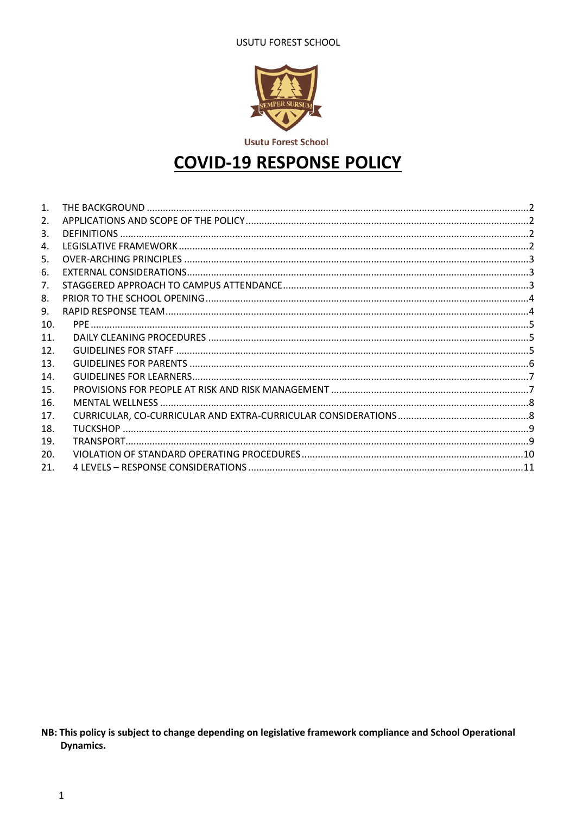#### **USUTU FOREST SCHOOL**



**Usutu Forest School** 

## **COVID-19 RESPONSE POLICY**

| 1.  |  |
|-----|--|
| 2.  |  |
| 3.  |  |
| 4.  |  |
| 5.  |  |
| 6.  |  |
| 7.  |  |
| 8.  |  |
| 9.  |  |
| 10. |  |
| 11. |  |
| 12. |  |
| 13. |  |
| 14. |  |
| 15. |  |
| 16. |  |
| 17. |  |
| 18. |  |
| 19. |  |
| 20. |  |
| 21. |  |
|     |  |

NB: This policy is subject to change depending on legislative framework compliance and School Operational **Dynamics.**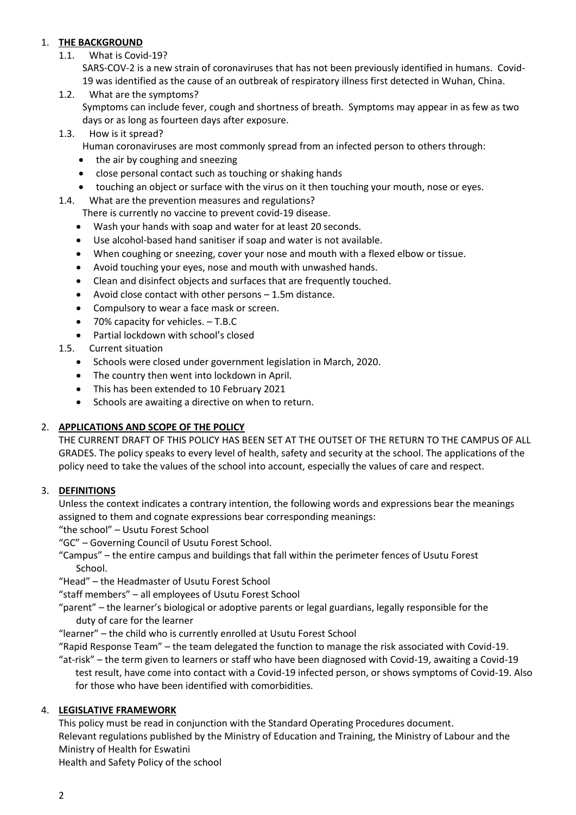## <span id="page-1-0"></span>1. **THE BACKGROUND**

1.1. What is Covid-19?

SARS-COV-2 is a new strain of coronaviruses that has not been previously identified in humans. Covid-19 was identified as the cause of an outbreak of respiratory illness first detected in Wuhan, China.

- 1.2. What are the symptoms? Symptoms can include fever, cough and shortness of breath. Symptoms may appear in as few as two days or as long as fourteen days after exposure.
- 1.3. How is it spread?
	- Human coronaviruses are most commonly spread from an infected person to others through:
	- $\bullet$  the air by coughing and sneezing
	- close personal contact such as touching or shaking hands
	- touching an object or surface with the virus on it then touching your mouth, nose or eyes.
- 1.4. What are the prevention measures and regulations?

There is currently no vaccine to prevent covid-19 disease.

- Wash your hands with soap and water for at least 20 seconds.
- Use alcohol-based hand sanitiser if soap and water is not available.
- When coughing or sneezing, cover your nose and mouth with a flexed elbow or tissue.
- Avoid touching your eyes, nose and mouth with unwashed hands.
- Clean and disinfect objects and surfaces that are frequently touched.
- Avoid close contact with other persons 1.5m distance.
- Compulsory to wear a face mask or screen.
- 70% capacity for vehicles. T.B.C
- Partial lockdown with school's closed
- 1.5. Current situation
	- Schools were closed under government legislation in March, 2020.
	- The country then went into lockdown in April.
	- This has been extended to 10 February 2021
	- Schools are awaiting a directive on when to return.

## <span id="page-1-1"></span>2. **APPLICATIONS AND SCOPE OF THE POLICY**

THE CURRENT DRAFT OF THIS POLICY HAS BEEN SET AT THE OUTSET OF THE RETURN TO THE CAMPUS OF ALL GRADES. The policy speaks to every level of health, safety and security at the school. The applications of the policy need to take the values of the school into account, especially the values of care and respect.

## <span id="page-1-2"></span>3. **DEFINITIONS**

Unless the context indicates a contrary intention, the following words and expressions bear the meanings assigned to them and cognate expressions bear corresponding meanings:

"the school" – Usutu Forest School

"GC" – Governing Council of Usutu Forest School.

"Campus" – the entire campus and buildings that fall within the perimeter fences of Usutu Forest School.

"Head" – the Headmaster of Usutu Forest School

"staff members" – all employees of Usutu Forest School

- "parent" the learner's biological or adoptive parents or legal guardians, legally responsible for the duty of care for the learner
- "learner" the child who is currently enrolled at Usutu Forest School
- "Rapid Response Team" the team delegated the function to manage the risk associated with Covid-19.
- "at-risk" the term given to learners or staff who have been diagnosed with Covid-19, awaiting a Covid-19 test result, have come into contact with a Covid-19 infected person, or shows symptoms of Covid-19. Also for those who have been identified with comorbidities.

## <span id="page-1-3"></span>4. **LEGISLATIVE FRAMEWORK**

This policy must be read in conjunction with the Standard Operating Procedures document. Relevant regulations published by the Ministry of Education and Training, the Ministry of Labour and the Ministry of Health for Eswatini

Health and Safety Policy of the school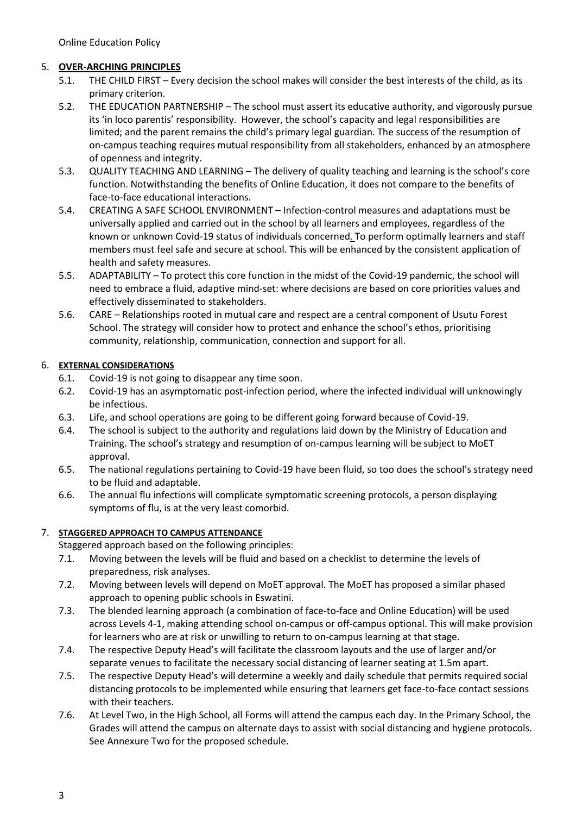## <span id="page-2-0"></span>5. **OVER-ARCHING PRINCIPLES**

- 5.1. THE CHILD FIRST Every decision the school makes will consider the best interests of the child, as its primary criterion.
- 5.2. THE EDUCATION PARTNERSHIP The school must assert its educative authority, and vigorously pursue its 'in loco parentis' responsibility. However, the school's capacity and legal responsibilities are limited; and the parent remains the child's primary legal guardian. The success of the resumption of on-campus teaching requires mutual responsibility from all stakeholders, enhanced by an atmosphere of openness and integrity.
- 5.3. QUALITY TEACHING AND LEARNING The delivery of quality teaching and learning is the school's core function. Notwithstanding the benefits of Online Education, it does not compare to the benefits of face-to-face educational interactions.
- 5.4. CREATING A SAFE SCHOOL ENVIRONMENT Infection-control measures and adaptations must be universally applied and carried out in the school by all learners and employees, regardless of the known or unknown Covid-19 status of individuals concerned. To perform optimally learners and staff members must feel safe and secure at school. This will be enhanced by the consistent application of health and safety measures.
- 5.5. ADAPTABILITY To protect this core function in the midst of the Covid-19 pandemic, the school will need to embrace a fluid, adaptive mind-set: where decisions are based on core priorities values and effectively disseminated to stakeholders.
- 5.6. CARE Relationships rooted in mutual care and respect are a central component of Usutu Forest School. The strategy will consider how to protect and enhance the school's ethos, prioritising community, relationship, communication, connection and support for all.

## <span id="page-2-1"></span>6. **EXTERNAL CONSIDERATIONS**

- 6.1. Covid-19 is not going to disappear any time soon.
- 6.2. Covid-19 has an asymptomatic post-infection period, where the infected individual will unknowingly be infectious.
- 6.3. Life, and school operations are going to be different going forward because of Covid-19.
- 6.4. The school is subject to the authority and regulations laid down by the Ministry of Education and Training. The school's strategy and resumption of on-campus learning will be subject to MoET approval.
- 6.5. The national regulations pertaining to Covid-19 have been fluid, so too does the school's strategy need to be fluid and adaptable.
- 6.6. The annual flu infections will complicate symptomatic screening protocols, a person displaying symptoms of flu, is at the very least comorbid.

## <span id="page-2-2"></span>7. **STAGGERED APPROACH TO CAMPUS ATTENDANCE**

Staggered approach based on the following principles:

- 7.1. Moving between the levels will be fluid and based on a checklist to determine the levels of preparedness, risk analyses.
- 7.2. Moving between levels will depend on MoET approval. The MoET has proposed a similar phased approach to opening public schools in Eswatini.
- 7.3. The blended learning approach (a combination of face-to-face and Online Education) will be used across Levels 4-1, making attending school on-campus or off-campus optional. This will make provision for learners who are at risk or unwilling to return to on-campus learning at that stage.
- 7.4. The respective Deputy Head's will facilitate the classroom layouts and the use of larger and/or separate venues to facilitate the necessary social distancing of learner seating at 1.5m apart.
- 7.5. The respective Deputy Head's will determine a weekly and daily schedule that permits required social distancing protocols to be implemented while ensuring that learners get face-to-face contact sessions with their teachers.
- 7.6. At Level Two, in the High School, all Forms will attend the campus each day. In the Primary School, the Grades will attend the campus on alternate days to assist with social distancing and hygiene protocols. See Annexure Two for the proposed schedule.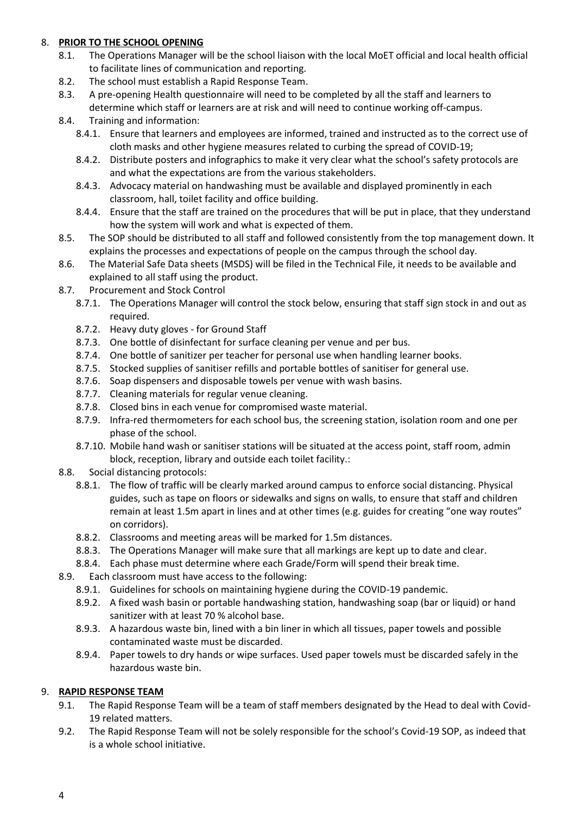#### <span id="page-3-0"></span>8. **PRIOR TO THE SCHOOL OPENING**

- 8.1. The Operations Manager will be the school liaison with the local MoET official and local health official to facilitate lines of communication and reporting.
- 8.2. The school must establish a Rapid Response Team.
- 8.3. A pre-opening Health questionnaire will need to be completed by all the staff and learners to determine which staff or learners are at risk and will need to continue working off-campus.
- 8.4. Training and information:
	- 8.4.1. Ensure that learners and employees are informed, trained and instructed as to the correct use of cloth masks and other hygiene measures related to curbing the spread of COVID-19;
	- 8.4.2. Distribute posters and infographics to make it very clear what the school's safety protocols are and what the expectations are from the various stakeholders.
	- 8.4.3. Advocacy material on handwashing must be available and displayed prominently in each classroom, hall, toilet facility and office building.
	- 8.4.4. Ensure that the staff are trained on the procedures that will be put in place, that they understand how the system will work and what is expected of them.
- 8.5. The SOP should be distributed to all staff and followed consistently from the top management down. It explains the processes and expectations of people on the campus through the school day.
- 8.6. The Material Safe Data sheets (MSDS) will be filed in the Technical File, it needs to be available and explained to all staff using the product.
- 8.7. Procurement and Stock Control
	- 8.7.1. The Operations Manager will control the stock below, ensuring that staff sign stock in and out as required.
	- 8.7.2. Heavy duty gloves for Ground Staff
	- 8.7.3. One bottle of disinfectant for surface cleaning per venue and per bus.
	- 8.7.4. One bottle of sanitizer per teacher for personal use when handling learner books.
	- 8.7.5. Stocked supplies of sanitiser refills and portable bottles of sanitiser for general use.
	- 8.7.6. Soap dispensers and disposable towels per venue with wash basins.
	- 8.7.7. Cleaning materials for regular venue cleaning.
	- 8.7.8. Closed bins in each venue for compromised waste material.
	- 8.7.9. Infra-red thermometers for each school bus, the screening station, isolation room and one per phase of the school.
	- 8.7.10. Mobile hand wash or sanitiser stations will be situated at the access point, staff room, admin block, reception, library and outside each toilet facility.:
- 8.8. Social distancing protocols:
	- 8.8.1. The flow of traffic will be clearly marked around campus to enforce social distancing. Physical guides, such as tape on floors or sidewalks and signs on walls, to ensure that staff and children remain at least 1.5m apart in lines and at other times (e.g. guides for creating "one way routes" on corridors).
	- 8.8.2. Classrooms and meeting areas will be marked for 1.5m distances.
	- 8.8.3. The Operations Manager will make sure that all markings are kept up to date and clear.
	- 8.8.4. Each phase must determine where each Grade/Form will spend their break time.
- 8.9. Each classroom must have access to the following:
	- 8.9.1. Guidelines for schools on maintaining hygiene during the COVID-19 pandemic.
	- 8.9.2. A fixed wash basin or portable handwashing station, handwashing soap (bar or liquid) or hand sanitizer with at least 70 % alcohol base.
	- 8.9.3. A hazardous waste bin, lined with a bin liner in which all tissues, paper towels and possible contaminated waste must be discarded.
	- 8.9.4. Paper towels to dry hands or wipe surfaces. Used paper towels must be discarded safely in the hazardous waste bin.

#### <span id="page-3-1"></span>9. **RAPID RESPONSE TEAM**

- 9.1. The Rapid Response Team will be a team of staff members designated by the Head to deal with Covid-19 related matters.
- 9.2. The Rapid Response Team will not be solely responsible for the school's Covid-19 SOP, as indeed that is a whole school initiative.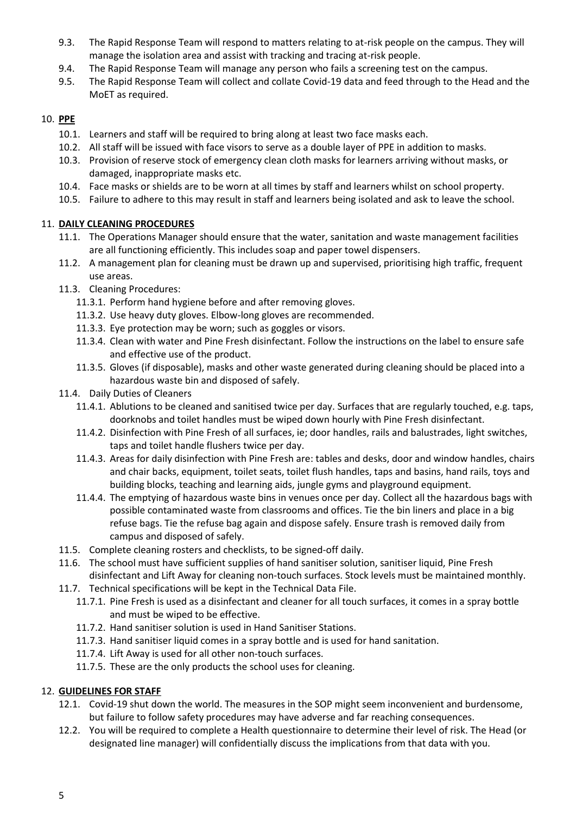- 9.3. The Rapid Response Team will respond to matters relating to at-risk people on the campus. They will manage the isolation area and assist with tracking and tracing at-risk people.
- 9.4. The Rapid Response Team will manage any person who fails a screening test on the campus.
- 9.5. The Rapid Response Team will collect and collate Covid-19 data and feed through to the Head and the MoET as required.

## <span id="page-4-0"></span>10. **PPE**

- 10.1. Learners and staff will be required to bring along at least two face masks each.
- 10.2. All staff will be issued with face visors to serve as a double layer of PPE in addition to masks.
- 10.3. Provision of reserve stock of emergency clean cloth masks for learners arriving without masks, or damaged, inappropriate masks etc.
- 10.4. Face masks or shields are to be worn at all times by staff and learners whilst on school property.
- 10.5. Failure to adhere to this may result in staff and learners being isolated and ask to leave the school.

## <span id="page-4-1"></span>11. **DAILY CLEANING PROCEDURES**

- 11.1. The Operations Manager should ensure that the water, sanitation and waste management facilities are all functioning efficiently. This includes soap and paper towel dispensers.
- 11.2. A management plan for cleaning must be drawn up and supervised, prioritising high traffic, frequent use areas.
- 11.3. Cleaning Procedures:
	- 11.3.1. Perform hand hygiene before and after removing gloves.
	- 11.3.2. Use heavy duty gloves. Elbow-long gloves are recommended.
	- 11.3.3. Eye protection may be worn; such as goggles or visors.
	- 11.3.4. Clean with water and Pine Fresh disinfectant. Follow the instructions on the label to ensure safe and effective use of the product.
	- 11.3.5. Gloves (if disposable), masks and other waste generated during cleaning should be placed into a hazardous waste bin and disposed of safely.
- 11.4. Daily Duties of Cleaners
	- 11.4.1. Ablutions to be cleaned and sanitised twice per day. Surfaces that are regularly touched, e.g. taps, doorknobs and toilet handles must be wiped down hourly with Pine Fresh disinfectant.
	- 11.4.2. Disinfection with Pine Fresh of all surfaces, ie; door handles, rails and balustrades, light switches, taps and toilet handle flushers twice per day.
	- 11.4.3. Areas for daily disinfection with Pine Fresh are: tables and desks, door and window handles, chairs and chair backs, equipment, toilet seats, toilet flush handles, taps and basins, hand rails, toys and building blocks, teaching and learning aids, jungle gyms and playground equipment.
	- 11.4.4. The emptying of hazardous waste bins in venues once per day. Collect all the hazardous bags with possible contaminated waste from classrooms and offices. Tie the bin liners and place in a big refuse bags. Tie the refuse bag again and dispose safely. Ensure trash is removed daily from campus and disposed of safely.
- 11.5. Complete cleaning rosters and checklists, to be signed-off daily.
- 11.6. The school must have sufficient supplies of hand sanitiser solution, sanitiser liquid, Pine Fresh disinfectant and Lift Away for cleaning non-touch surfaces. Stock levels must be maintained monthly.
- 11.7. Technical specifications will be kept in the Technical Data File.
	- 11.7.1. Pine Fresh is used as a disinfectant and cleaner for all touch surfaces, it comes in a spray bottle and must be wiped to be effective.
	- 11.7.2. Hand sanitiser solution is used in Hand Sanitiser Stations.
	- 11.7.3. Hand sanitiser liquid comes in a spray bottle and is used for hand sanitation.
	- 11.7.4. Lift Away is used for all other non-touch surfaces.
	- 11.7.5. These are the only products the school uses for cleaning.

#### <span id="page-4-2"></span>12. **GUIDELINES FOR STAFF**

- 12.1. Covid-19 shut down the world. The measures in the SOP might seem inconvenient and burdensome, but failure to follow safety procedures may have adverse and far reaching consequences.
- 12.2. You will be required to complete a Health questionnaire to determine their level of risk. The Head (or designated line manager) will confidentially discuss the implications from that data with you.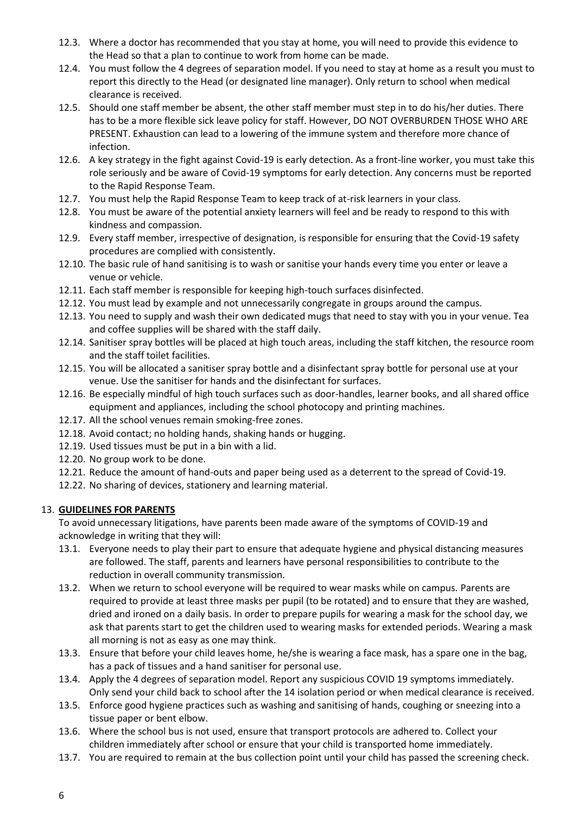- 12.3. Where a doctor has recommended that you stay at home, you will need to provide this evidence to the Head so that a plan to continue to work from home can be made.
- 12.4. You must follow the 4 degrees of separation model. If you need to stay at home as a result you must to report this directly to the Head (or designated line manager). Only return to school when medical clearance is received.
- 12.5. Should one staff member be absent, the other staff member must step in to do his/her duties. There has to be a more flexible sick leave policy for staff. However, DO NOT OVERBURDEN THOSE WHO ARE PRESENT. Exhaustion can lead to a lowering of the immune system and therefore more chance of infection.
- 12.6. A key strategy in the fight against Covid-19 is early detection. As a front-line worker, you must take this role seriously and be aware of Covid-19 symptoms for early detection. Any concerns must be reported to the Rapid Response Team.
- 12.7. You must help the Rapid Response Team to keep track of at-risk learners in your class.
- 12.8. You must be aware of the potential anxiety learners will feel and be ready to respond to this with kindness and compassion.
- 12.9. Every staff member, irrespective of designation, is responsible for ensuring that the Covid-19 safety procedures are complied with consistently.
- 12.10. The basic rule of hand sanitising is to wash or sanitise your hands every time you enter or leave a venue or vehicle.
- 12.11. Each staff member is responsible for keeping high-touch surfaces disinfected.
- 12.12. You must lead by example and not unnecessarily congregate in groups around the campus.
- 12.13. You need to supply and wash their own dedicated mugs that need to stay with you in your venue. Tea and coffee supplies will be shared with the staff daily.
- 12.14. Sanitiser spray bottles will be placed at high touch areas, including the staff kitchen, the resource room and the staff toilet facilities.
- 12.15. You will be allocated a sanitiser spray bottle and a disinfectant spray bottle for personal use at your venue. Use the sanitiser for hands and the disinfectant for surfaces.
- 12.16. Be especially mindful of high touch surfaces such as door-handles, learner books, and all shared office equipment and appliances, including the school photocopy and printing machines.
- 12.17. All the school venues remain smoking-free zones.
- 12.18. Avoid contact; no holding hands, shaking hands or hugging.
- 12.19. Used tissues must be put in a bin with a lid.
- 12.20. No group work to be done.
- 12.21. Reduce the amount of hand-outs and paper being used as a deterrent to the spread of Covid-19.
- 12.22. No sharing of devices, stationery and learning material.

## <span id="page-5-0"></span>13. **GUIDELINES FOR PARENTS**

To avoid unnecessary litigations, have parents been made aware of the symptoms of COVID-19 and acknowledge in writing that they will:

- 13.1. Everyone needs to play their part to ensure that adequate hygiene and physical distancing measures are followed. The staff, parents and learners have personal responsibilities to contribute to the reduction in overall community transmission.
- 13.2. When we return to school everyone will be required to wear masks while on campus. Parents are required to provide at least three masks per pupil (to be rotated) and to ensure that they are washed, dried and ironed on a daily basis. In order to prepare pupils for wearing a mask for the school day, we ask that parents start to get the children used to wearing masks for extended periods. Wearing a mask all morning is not as easy as one may think.
- 13.3. Ensure that before your child leaves home, he/she is wearing a face mask, has a spare one in the bag, has a pack of tissues and a hand sanitiser for personal use.
- 13.4. Apply the 4 degrees of separation model. Report any suspicious COVID 19 symptoms immediately. Only send your child back to school after the 14 isolation period or when medical clearance is received.
- 13.5. Enforce good hygiene practices such as washing and sanitising of hands, coughing or sneezing into a tissue paper or bent elbow.
- 13.6. Where the school bus is not used, ensure that transport protocols are adhered to. Collect your children immediately after school or ensure that your child is transported home immediately.
- 13.7. You are required to remain at the bus collection point until your child has passed the screening check.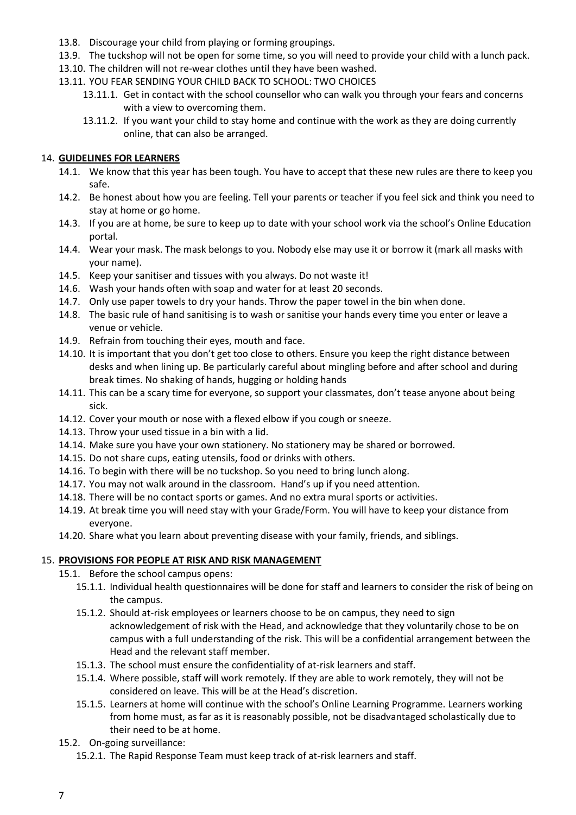- 13.8. Discourage your child from playing or forming groupings.
- 13.9. The tuckshop will not be open for some time, so you will need to provide your child with a lunch pack.
- 13.10. The children will not re-wear clothes until they have been washed.
- 13.11. YOU FEAR SENDING YOUR CHILD BACK TO SCHOOL: TWO CHOICES
	- 13.11.1. Get in contact with the school counsellor who can walk you through your fears and concerns with a view to overcoming them.
	- 13.11.2. If you want your child to stay home and continue with the work as they are doing currently online, that can also be arranged.

#### <span id="page-6-0"></span>14. **GUIDELINES FOR LEARNERS**

- 14.1. We know that this year has been tough. You have to accept that these new rules are there to keep you safe.
- 14.2. Be honest about how you are feeling. Tell your parents or teacher if you feel sick and think you need to stay at home or go home.
- 14.3. If you are at home, be sure to keep up to date with your school work via the school's Online Education portal.
- 14.4. Wear your mask. The mask belongs to you. Nobody else may use it or borrow it (mark all masks with your name).
- 14.5. Keep your sanitiser and tissues with you always. Do not waste it!
- 14.6. Wash your hands often with soap and water for at least 20 seconds.
- 14.7. Only use paper towels to dry your hands. Throw the paper towel in the bin when done.
- 14.8. The basic rule of hand sanitising is to wash or sanitise your hands every time you enter or leave a venue or vehicle.
- 14.9. Refrain from touching their eyes, mouth and face.
- 14.10. It is important that you don't get too close to others. Ensure you keep the right distance between desks and when lining up. Be particularly careful about mingling before and after school and during break times. No shaking of hands, hugging or holding hands
- 14.11. This can be a scary time for everyone, so support your classmates, don't tease anyone about being sick.
- 14.12. Cover your mouth or nose with a flexed elbow if you cough or sneeze.
- 14.13. Throw your used tissue in a bin with a lid.
- 14.14. Make sure you have your own stationery. No stationery may be shared or borrowed.
- 14.15. Do not share cups, eating utensils, food or drinks with others.
- 14.16. To begin with there will be no tuckshop. So you need to bring lunch along.
- 14.17. You may not walk around in the classroom. Hand's up if you need attention.
- 14.18. There will be no contact sports or games. And no extra mural sports or activities.
- 14.19. At break time you will need stay with your Grade/Form. You will have to keep your distance from everyone.
- 14.20. Share what you learn about preventing disease with your family, friends, and siblings.

## <span id="page-6-1"></span>15. **PROVISIONS FOR PEOPLE AT RISK AND RISK MANAGEMENT**

- 15.1. Before the school campus opens:
	- 15.1.1. Individual health questionnaires will be done for staff and learners to consider the risk of being on the campus.
	- 15.1.2. Should at-risk employees or learners choose to be on campus, they need to sign acknowledgement of risk with the Head, and acknowledge that they voluntarily chose to be on campus with a full understanding of the risk. This will be a confidential arrangement between the Head and the relevant staff member.
	- 15.1.3. The school must ensure the confidentiality of at-risk learners and staff.
	- 15.1.4. Where possible, staff will work remotely. If they are able to work remotely, they will not be considered on leave. This will be at the Head's discretion.
	- 15.1.5. Learners at home will continue with the school's Online Learning Programme. Learners working from home must, as far as it is reasonably possible, not be disadvantaged scholastically due to their need to be at home.
- 15.2. On-going surveillance:
	- 15.2.1. The Rapid Response Team must keep track of at-risk learners and staff.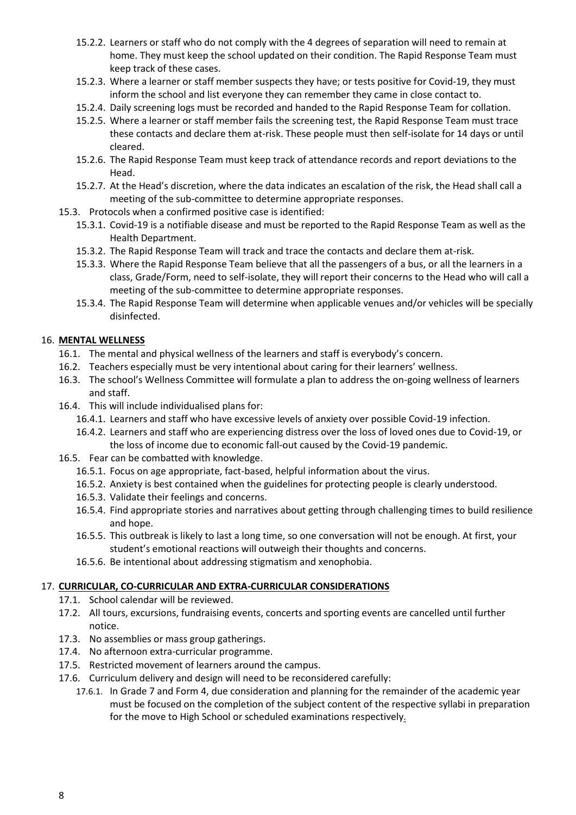- 15.2.2. Learners or staff who do not comply with the 4 degrees of separation will need to remain at home. They must keep the school updated on their condition. The Rapid Response Team must keep track of these cases.
- 15.2.3. Where a learner or staff member suspects they have; or tests positive for Covid-19, they must inform the school and list everyone they can remember they came in close contact to.
- 15.2.4. Daily screening logs must be recorded and handed to the Rapid Response Team for collation.
- 15.2.5. Where a learner or staff member fails the screening test, the Rapid Response Team must trace these contacts and declare them at-risk. These people must then self-isolate for 14 days or until cleared.
- 15.2.6. The Rapid Response Team must keep track of attendance records and report deviations to the Head.
- 15.2.7. At the Head's discretion, where the data indicates an escalation of the risk, the Head shall call a meeting of the sub-committee to determine appropriate responses.
- 15.3. Protocols when a confirmed positive case is identified:
	- 15.3.1. Covid-19 is a notifiable disease and must be reported to the Rapid Response Team as well as the Health Department.
	- 15.3.2. The Rapid Response Team will track and trace the contacts and declare them at-risk.
	- 15.3.3. Where the Rapid Response Team believe that all the passengers of a bus, or all the learners in a class, Grade/Form, need to self-isolate, they will report their concerns to the Head who will call a meeting of the sub-committee to determine appropriate responses.
	- 15.3.4. The Rapid Response Team will determine when applicable venues and/or vehicles will be specially disinfected.

## <span id="page-7-0"></span>16. **MENTAL WELLNESS**

- 16.1. The mental and physical wellness of the learners and staff is everybody's concern.
- 16.2. Teachers especially must be very intentional about caring for their learners' wellness.
- 16.3. The school's Wellness Committee will formulate a plan to address the on-going wellness of learners and staff.
- 16.4. This will include individualised plans for:
	- 16.4.1. Learners and staff who have excessive levels of anxiety over possible Covid-19 infection.
	- 16.4.2. Learners and staff who are experiencing distress over the loss of loved ones due to Covid-19, or the loss of income due to economic fall-out caused by the Covid-19 pandemic.
- 16.5. Fear can be combatted with knowledge.
	- 16.5.1. Focus on age appropriate, fact-based, helpful information about the virus.
	- 16.5.2. Anxiety is best contained when the guidelines for protecting people is clearly understood.
	- 16.5.3. Validate their feelings and concerns.
	- 16.5.4. Find appropriate stories and narratives about getting through challenging times to build resilience and hope.
	- 16.5.5. This outbreak is likely to last a long time, so one conversation will not be enough. At first, your student's emotional reactions will outweigh their thoughts and concerns.
	- 16.5.6. Be intentional about addressing stigmatism and xenophobia.

#### <span id="page-7-1"></span>17. **CURRICULAR, CO-CURRICULAR AND EXTRA-CURRICULAR CONSIDERATIONS**

- 17.1. School calendar will be reviewed.
- 17.2. All tours, excursions, fundraising events, concerts and sporting events are cancelled until further notice.
- 17.3. No assemblies or mass group gatherings.
- 17.4. No afternoon extra-curricular programme.
- 17.5. Restricted movement of learners around the campus.
- 17.6. Curriculum delivery and design will need to be reconsidered carefully:
	- 17.6.1. In Grade 7 and Form 4, due consideration and planning for the remainder of the academic year must be focused on the completion of the subject content of the respective syllabi in preparation for the move to High School or scheduled examinations respectively.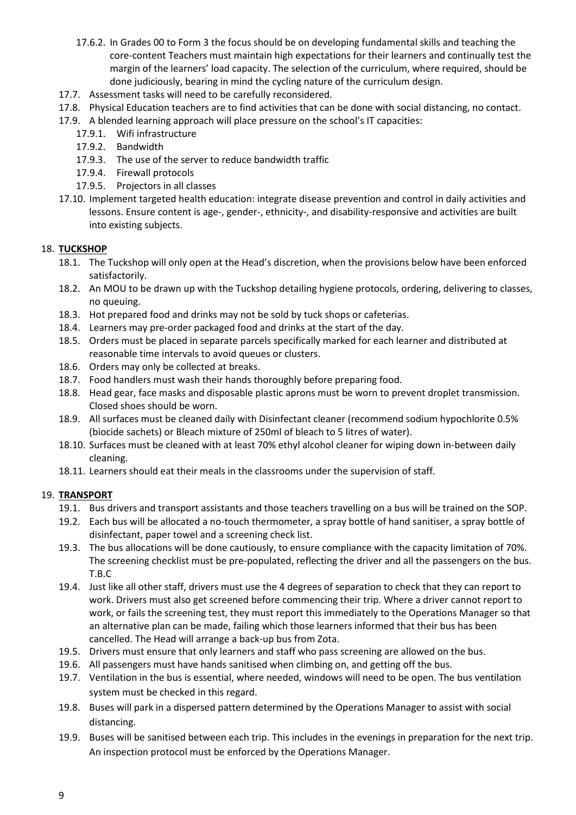- 17.6.2. In Grades 00 to Form 3 the focus should be on developing fundamental skills and teaching the core-content Teachers must maintain high expectations for their learners and continually test the margin of the learners' load capacity. The selection of the curriculum, where required, should be done judiciously, bearing in mind the cycling nature of the curriculum design.
- 17.7. Assessment tasks will need to be carefully reconsidered.
- 17.8. Physical Education teachers are to find activities that can be done with social distancing, no contact.
- 17.9. A blended learning approach will place pressure on the school's IT capacities:
	- 17.9.1. Wifi infrastructure
	- 17.9.2. Bandwidth
	- 17.9.3. The use of the server to reduce bandwidth traffic
	- 17.9.4. Firewall protocols
	- 17.9.5. Projectors in all classes
- 17.10. Implement targeted health education: integrate disease prevention and control in daily activities and lessons. Ensure content is age-, gender-, ethnicity-, and disability-responsive and activities are built into existing subjects.

## <span id="page-8-0"></span>18. **TUCKSHOP**

- 18.1. The Tuckshop will only open at the Head's discretion, when the provisions below have been enforced satisfactorily.
- 18.2. An MOU to be drawn up with the Tuckshop detailing hygiene protocols, ordering, delivering to classes, no queuing.
- 18.3. Hot prepared food and drinks may not be sold by tuck shops or cafeterias.
- 18.4. Learners may pre-order packaged food and drinks at the start of the day.
- 18.5. Orders must be placed in separate parcels specifically marked for each learner and distributed at reasonable time intervals to avoid queues or clusters.
- 18.6. Orders may only be collected at breaks.
- 18.7. Food handlers must wash their hands thoroughly before preparing food.
- 18.8. Head gear, face masks and disposable plastic aprons must be worn to prevent droplet transmission. Closed shoes should be worn.
- 18.9. All surfaces must be cleaned daily with Disinfectant cleaner (recommend sodium hypochlorite 0.5% (biocide sachets) or Bleach mixture of 250ml of bleach to 5 litres of water).
- 18.10. Surfaces must be cleaned with at least 70% ethyl alcohol cleaner for wiping down in-between daily cleaning.
- 18.11. Learners should eat their meals in the classrooms under the supervision of staff.

## <span id="page-8-1"></span>19. **TRANSPORT**

- 19.1. Bus drivers and transport assistants and those teachers travelling on a bus will be trained on the SOP.
- 19.2. Each bus will be allocated a no-touch thermometer, a spray bottle of hand sanitiser, a spray bottle of disinfectant, paper towel and a screening check list.
- 19.3. The bus allocations will be done cautiously, to ensure compliance with the capacity limitation of 70%. The screening checklist must be pre-populated, reflecting the driver and all the passengers on the bus. T.B.C
- 19.4. Just like all other staff, drivers must use the 4 degrees of separation to check that they can report to work. Drivers must also get screened before commencing their trip. Where a driver cannot report to work, or fails the screening test, they must report this immediately to the Operations Manager so that an alternative plan can be made, failing which those learners informed that their bus has been cancelled. The Head will arrange a back-up bus from Zota.
- 19.5. Drivers must ensure that only learners and staff who pass screening are allowed on the bus.
- 19.6. All passengers must have hands sanitised when climbing on, and getting off the bus.
- 19.7. Ventilation in the bus is essential, where needed, windows will need to be open. The bus ventilation system must be checked in this regard.
- 19.8. Buses will park in a dispersed pattern determined by the Operations Manager to assist with social distancing.
- 19.9. Buses will be sanitised between each trip. This includes in the evenings in preparation for the next trip. An inspection protocol must be enforced by the Operations Manager.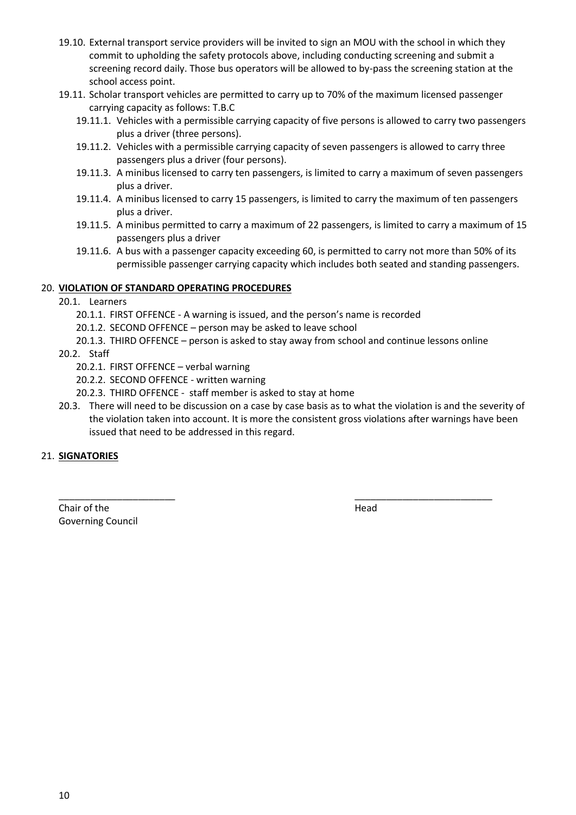- 19.10. External transport service providers will be invited to sign an MOU with the school in which they commit to upholding the safety protocols above, including conducting screening and submit a screening record daily. Those bus operators will be allowed to by-pass the screening station at the school access point.
- 19.11. Scholar transport vehicles are permitted to carry up to 70% of the maximum licensed passenger carrying capacity as follows: T.B.C
	- 19.11.1. Vehicles with a permissible carrying capacity of five persons is allowed to carry two passengers plus a driver (three persons).
	- 19.11.2. Vehicles with a permissible carrying capacity of seven passengers is allowed to carry three passengers plus a driver (four persons).
	- 19.11.3. A minibus licensed to carry ten passengers, is limited to carry a maximum of seven passengers plus a driver.
	- 19.11.4. A minibus licensed to carry 15 passengers, is limited to carry the maximum of ten passengers plus a driver.
	- 19.11.5. A minibus permitted to carry a maximum of 22 passengers, is limited to carry a maximum of 15 passengers plus a driver
	- 19.11.6. A bus with a passenger capacity exceeding 60, is permitted to carry not more than 50% of its permissible passenger carrying capacity which includes both seated and standing passengers.

## <span id="page-9-0"></span>20. **VIOLATION OF STANDARD OPERATING PROCEDURES**

- 20.1. Learners
	- 20.1.1. FIRST OFFENCE A warning is issued, and the person's name is recorded
	- 20.1.2. SECOND OFFENCE person may be asked to leave school
	- 20.1.3. THIRD OFFENCE person is asked to stay away from school and continue lessons online
- 20.2. Staff
	- 20.2.1. FIRST OFFENCE verbal warning
	- 20.2.2. SECOND OFFENCE written warning
	- 20.2.3. THIRD OFFENCE staff member is asked to stay at home
- 20.3. There will need to be discussion on a case by case basis as to what the violation is and the severity of the violation taken into account. It is more the consistent gross violations after warnings have been issued that need to be addressed in this regard.

\_\_\_\_\_\_\_\_\_\_\_\_\_\_\_\_\_\_\_\_\_\_ \_\_\_\_\_\_\_\_\_\_\_\_\_\_\_\_\_\_\_\_\_\_\_\_\_\_

## 21. **SIGNATORIES**

Chair of the **Head** Governing Council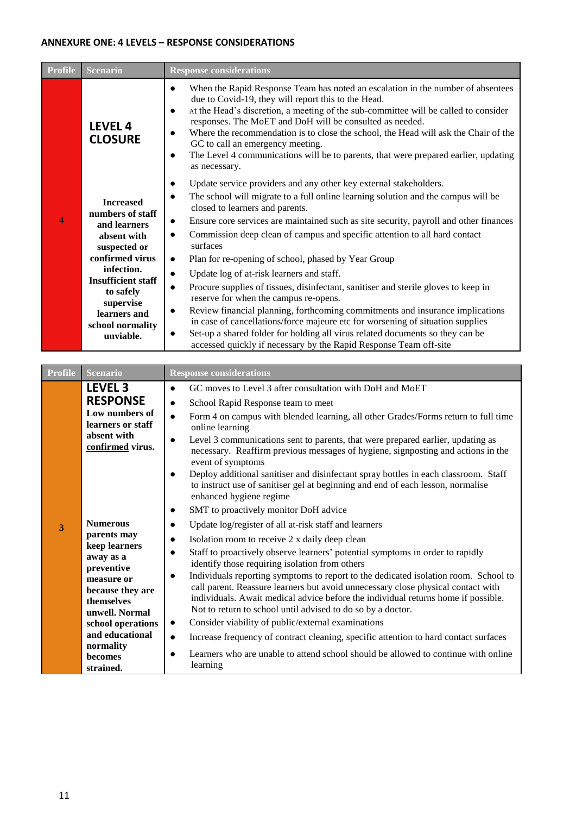## <span id="page-10-0"></span>**ANNEXURE ONE: 4 LEVELS – RESPONSE CONSIDERATIONS**

| <b>Profile</b> | <b>Scenario</b>                                                                                                                                                                                                                                                                                                                      | <b>Response considerations</b>                                                                                                                                                                                                                                                                                                                                                                                                                                                                                                                                                                                                                                                                                                                                                                                                                                                                                                           |  |  |  |  |
|----------------|--------------------------------------------------------------------------------------------------------------------------------------------------------------------------------------------------------------------------------------------------------------------------------------------------------------------------------------|------------------------------------------------------------------------------------------------------------------------------------------------------------------------------------------------------------------------------------------------------------------------------------------------------------------------------------------------------------------------------------------------------------------------------------------------------------------------------------------------------------------------------------------------------------------------------------------------------------------------------------------------------------------------------------------------------------------------------------------------------------------------------------------------------------------------------------------------------------------------------------------------------------------------------------------|--|--|--|--|
| 4              | LEVEL <sub>4</sub><br><b>CLOSURE</b>                                                                                                                                                                                                                                                                                                 | When the Rapid Response Team has noted an escalation in the number of absentees<br>$\bullet$<br>due to Covid-19, they will report this to the Head.<br>At the Head's discretion, a meeting of the sub-committee will be called to consider<br>$\bullet$<br>responses. The MoET and DoH will be consulted as needed.<br>Where the recommendation is to close the school, the Head will ask the Chair of the<br>$\bullet$<br>GC to call an emergency meeting.<br>The Level 4 communications will be to parents, that were prepared earlier, updating<br>$\bullet$<br>as necessary.                                                                                                                                                                                                                                                                                                                                                         |  |  |  |  |
|                | $\bullet$<br>$\bullet$<br><b>Increased</b><br>numbers of staff<br>$\bullet$<br>and learners<br>absent with<br>$\bullet$<br>suspected or<br>confirmed virus<br>$\bullet$<br>infection.<br>$\bullet$<br><b>Insufficient staff</b><br>$\bullet$<br>to safely<br>supervise<br>$\bullet$<br>learners and<br>school normality<br>unviable. | Update service providers and any other key external stakeholders.<br>The school will migrate to a full online learning solution and the campus will be<br>closed to learners and parents.<br>Ensure core services are maintained such as site security, payroll and other finances<br>Commission deep clean of campus and specific attention to all hard contact<br>surfaces<br>Plan for re-opening of school, phased by Year Group<br>Update log of at-risk learners and staff.<br>Procure supplies of tissues, disinfectant, sanitiser and sterile gloves to keep in<br>reserve for when the campus re-opens.<br>Review financial planning, forthcoming commitments and insurance implications<br>in case of cancellations/force majeure etc for worsening of situation supplies<br>Set-up a shared folder for holding all virus related documents so they can be<br>accessed quickly if necessary by the Rapid Response Team off-site |  |  |  |  |

| Profile        | <b>Scenario</b>                                                                                                                                                                                                                                                                                                      | <b>Response considerations</b>                                                                                                                                                                                                                                                                                              |  |  |  |  |  |
|----------------|----------------------------------------------------------------------------------------------------------------------------------------------------------------------------------------------------------------------------------------------------------------------------------------------------------------------|-----------------------------------------------------------------------------------------------------------------------------------------------------------------------------------------------------------------------------------------------------------------------------------------------------------------------------|--|--|--|--|--|
|                | LEVEL <sub>3</sub><br><b>RESPONSE</b><br>Low numbers of<br>learners or staff<br>absent with<br>confirmed virus.                                                                                                                                                                                                      | GC moves to Level 3 after consultation with DoH and MoET<br>$\bullet$                                                                                                                                                                                                                                                       |  |  |  |  |  |
|                |                                                                                                                                                                                                                                                                                                                      | School Rapid Response team to meet<br>$\bullet$                                                                                                                                                                                                                                                                             |  |  |  |  |  |
|                |                                                                                                                                                                                                                                                                                                                      | Form 4 on campus with blended learning, all other Grades/Forms return to full time<br>$\bullet$<br>online learning                                                                                                                                                                                                          |  |  |  |  |  |
|                |                                                                                                                                                                                                                                                                                                                      | Level 3 communications sent to parents, that were prepared earlier, updating as<br>$\bullet$<br>necessary. Reaffirm previous messages of hygiene, signposting and actions in the<br>event of symptoms                                                                                                                       |  |  |  |  |  |
|                |                                                                                                                                                                                                                                                                                                                      | Deploy additional sanitiser and disinfectant spray bottles in each classroom. Staff<br>$\bullet$<br>to instruct use of sanitiser gel at beginning and end of each lesson, normalise<br>enhanced hygiene regime                                                                                                              |  |  |  |  |  |
|                |                                                                                                                                                                                                                                                                                                                      | SMT to proactively monitor DoH advice<br>$\bullet$                                                                                                                                                                                                                                                                          |  |  |  |  |  |
| $\overline{3}$ | <b>Numerous</b><br>$\bullet$<br>parents may<br>$\bullet$<br>keep learners<br>$\bullet$<br>away as a<br>preventive<br>$\bullet$<br>measure or<br>because they are<br>themselves<br>unwell. Normal<br>school operations<br>$\bullet$<br>and educational<br>$\bullet$<br>normality<br>$\bullet$<br>becomes<br>strained. | Update log/register of all at-risk staff and learners                                                                                                                                                                                                                                                                       |  |  |  |  |  |
|                |                                                                                                                                                                                                                                                                                                                      | Isolation room to receive 2 x daily deep clean                                                                                                                                                                                                                                                                              |  |  |  |  |  |
|                |                                                                                                                                                                                                                                                                                                                      | Staff to proactively observe learners' potential symptoms in order to rapidly<br>identify those requiring isolation from others                                                                                                                                                                                             |  |  |  |  |  |
|                |                                                                                                                                                                                                                                                                                                                      | Individuals reporting symptoms to report to the dedicated isolation room. School to<br>call parent. Reassure learners but avoid unnecessary close physical contact with<br>individuals. Await medical advice before the individual returns home if possible.<br>Not to return to school until advised to do so by a doctor. |  |  |  |  |  |
|                |                                                                                                                                                                                                                                                                                                                      | Consider viability of public/external examinations                                                                                                                                                                                                                                                                          |  |  |  |  |  |
|                |                                                                                                                                                                                                                                                                                                                      | Increase frequency of contract cleaning, specific attention to hard contact surfaces                                                                                                                                                                                                                                        |  |  |  |  |  |
|                |                                                                                                                                                                                                                                                                                                                      | Learners who are unable to attend school should be allowed to continue with online<br>learning                                                                                                                                                                                                                              |  |  |  |  |  |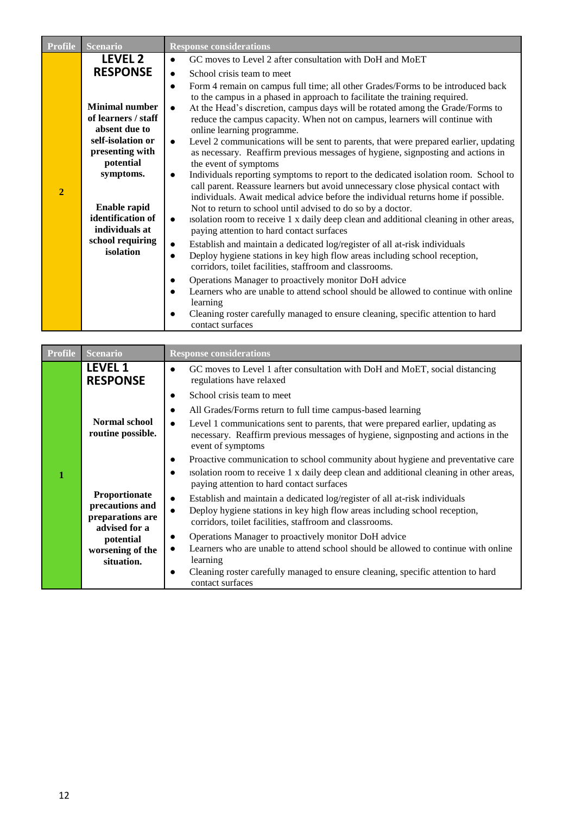| <b>Profile</b> | <b>Scenario</b>                                                                                                                                                                                                         | <b>Response considerations</b>                                                                                                                                                                                                                                                                                                                                                                                                                                                                                                                                                                                                                                                                                                                                                                                                                                                                                                                                                                                                                                                                                                                                                                                                                                                                                                                                                                                                                                                                                                                                                                                                                       |
|----------------|-------------------------------------------------------------------------------------------------------------------------------------------------------------------------------------------------------------------------|------------------------------------------------------------------------------------------------------------------------------------------------------------------------------------------------------------------------------------------------------------------------------------------------------------------------------------------------------------------------------------------------------------------------------------------------------------------------------------------------------------------------------------------------------------------------------------------------------------------------------------------------------------------------------------------------------------------------------------------------------------------------------------------------------------------------------------------------------------------------------------------------------------------------------------------------------------------------------------------------------------------------------------------------------------------------------------------------------------------------------------------------------------------------------------------------------------------------------------------------------------------------------------------------------------------------------------------------------------------------------------------------------------------------------------------------------------------------------------------------------------------------------------------------------------------------------------------------------------------------------------------------------|
|                | LEVEL 2                                                                                                                                                                                                                 | GC moves to Level 2 after consultation with DoH and MoET<br>$\bullet$                                                                                                                                                                                                                                                                                                                                                                                                                                                                                                                                                                                                                                                                                                                                                                                                                                                                                                                                                                                                                                                                                                                                                                                                                                                                                                                                                                                                                                                                                                                                                                                |
|                | <b>RESPONSE</b>                                                                                                                                                                                                         | School crisis team to meet<br>$\bullet$                                                                                                                                                                                                                                                                                                                                                                                                                                                                                                                                                                                                                                                                                                                                                                                                                                                                                                                                                                                                                                                                                                                                                                                                                                                                                                                                                                                                                                                                                                                                                                                                              |
| $\overline{2}$ | <b>Minimal number</b><br>of learners / staff<br>absent due to<br>self-isolation or<br>presenting with<br>potential<br>symptoms.<br>Enable rapid<br>identification of<br>individuals at<br>school requiring<br>isolation | Form 4 remain on campus full time; all other Grades/Forms to be introduced back<br>$\bullet$<br>to the campus in a phased in approach to facilitate the training required.<br>At the Head's discretion, campus days will be rotated among the Grade/Forms to<br>$\bullet$<br>reduce the campus capacity. When not on campus, learners will continue with<br>online learning programme.<br>Level 2 communications will be sent to parents, that were prepared earlier, updating<br>$\bullet$<br>as necessary. Reaffirm previous messages of hygiene, signposting and actions in<br>the event of symptoms<br>Individuals reporting symptoms to report to the dedicated isolation room. School to<br>$\bullet$<br>call parent. Reassure learners but avoid unnecessary close physical contact with<br>individuals. Await medical advice before the individual returns home if possible.<br>Not to return to school until advised to do so by a doctor.<br>isolation room to receive 1 x daily deep clean and additional cleaning in other areas,<br>$\bullet$<br>paying attention to hard contact surfaces<br>Establish and maintain a dedicated log/register of all at-risk individuals<br>$\bullet$<br>Deploy hygiene stations in key high flow areas including school reception,<br>$\bullet$<br>corridors, toilet facilities, staffroom and classrooms.<br>Operations Manager to proactively monitor DoH advice<br>$\bullet$<br>Learners who are unable to attend school should be allowed to continue with online<br>$\bullet$<br>learning<br>Cleaning roster carefully managed to ensure cleaning, specific attention to hard<br>contact surfaces |

| <b>Profile</b> | <b>Scenario</b>                                                                                                                                            | <b>Response considerations</b>                                                                                                                                                                                                                |
|----------------|------------------------------------------------------------------------------------------------------------------------------------------------------------|-----------------------------------------------------------------------------------------------------------------------------------------------------------------------------------------------------------------------------------------------|
|                | <b>LEVEL 1</b><br><b>RESPONSE</b>                                                                                                                          | GC moves to Level 1 after consultation with DoH and MoET, social distancing<br>regulations have relaxed                                                                                                                                       |
|                | Normal school<br>routine possible.<br>Proportionate<br>precautions and<br>preparations are<br>advised for a<br>potential<br>worsening of the<br>situation. | School crisis team to meet                                                                                                                                                                                                                    |
|                |                                                                                                                                                            | All Grades/Forms return to full time campus-based learning<br>$\bullet$                                                                                                                                                                       |
|                |                                                                                                                                                            | Level 1 communications sent to parents, that were prepared earlier, updating as<br>$\bullet$<br>necessary. Reaffirm previous messages of hygiene, signposting and actions in the<br>event of symptoms                                         |
|                |                                                                                                                                                            | Proactive communication to school community about hygiene and preventative care                                                                                                                                                               |
|                |                                                                                                                                                            | isolation room to receive 1 x daily deep clean and additional cleaning in other areas,<br>$\bullet$<br>paying attention to hard contact surfaces                                                                                              |
|                |                                                                                                                                                            | Establish and maintain a dedicated log/register of all at-risk individuals<br>$\bullet$<br>Deploy hygiene stations in key high flow areas including school reception,<br>$\bullet$<br>corridors, toilet facilities, staffroom and classrooms. |
|                |                                                                                                                                                            | Operations Manager to proactively monitor DoH advice<br>٠<br>Learners who are unable to attend school should be allowed to continue with online<br>$\bullet$<br>learning                                                                      |
|                |                                                                                                                                                            | Cleaning roster carefully managed to ensure cleaning, specific attention to hard<br>$\bullet$<br>contact surfaces                                                                                                                             |